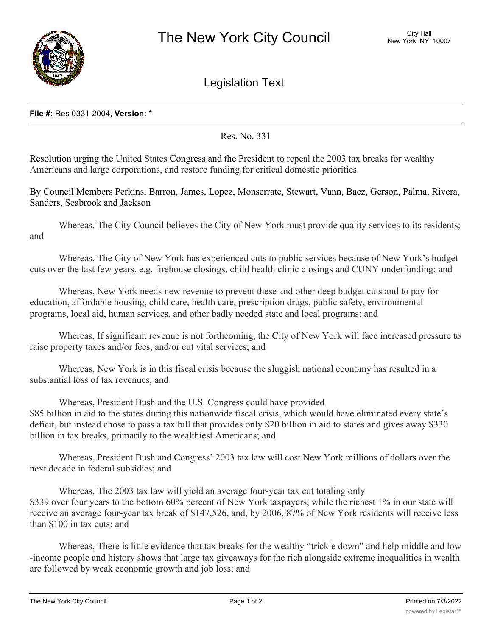

Legislation Text

## **File #:** Res 0331-2004, **Version:** \*

Res. No. 331

Resolution urging the United States Congress and the President to repeal the 2003 tax breaks for wealthy Americans and large corporations, and restore funding for critical domestic priorities.

By Council Members Perkins, Barron, James, Lopez, Monserrate, Stewart, Vann, Baez, Gerson, Palma, Rivera, Sanders, Seabrook and Jackson

Whereas, The City Council believes the City of New York must provide quality services to its residents; and

Whereas, The City of New York has experienced cuts to public services because of New York's budget cuts over the last few years, e.g. firehouse closings, child health clinic closings and CUNY underfunding; and

Whereas, New York needs new revenue to prevent these and other deep budget cuts and to pay for education, affordable housing, child care, health care, prescription drugs, public safety, environmental programs, local aid, human services, and other badly needed state and local programs; and

Whereas, If significant revenue is not forthcoming, the City of New York will face increased pressure to raise property taxes and/or fees, and/or cut vital services; and

Whereas, New York is in this fiscal crisis because the sluggish national economy has resulted in a substantial loss of tax revenues; and

Whereas, President Bush and the U.S. Congress could have provided \$85 billion in aid to the states during this nationwide fiscal crisis, which would have eliminated every state's deficit, but instead chose to pass a tax bill that provides only \$20 billion in aid to states and gives away \$330 billion in tax breaks, primarily to the wealthiest Americans; and

Whereas, President Bush and Congress' 2003 tax law will cost New York millions of dollars over the next decade in federal subsidies; and

Whereas, The 2003 tax law will yield an average four-year tax cut totaling only \$339 over four years to the bottom 60% percent of New York taxpayers, while the richest 1% in our state will receive an average four-year tax break of \$147,526, and, by 2006, 87% of New York residents will receive less than \$100 in tax cuts; and

Whereas, There is little evidence that tax breaks for the wealthy "trickle down" and help middle and low -income people and history shows that large tax giveaways for the rich alongside extreme inequalities in wealth are followed by weak economic growth and job loss; and